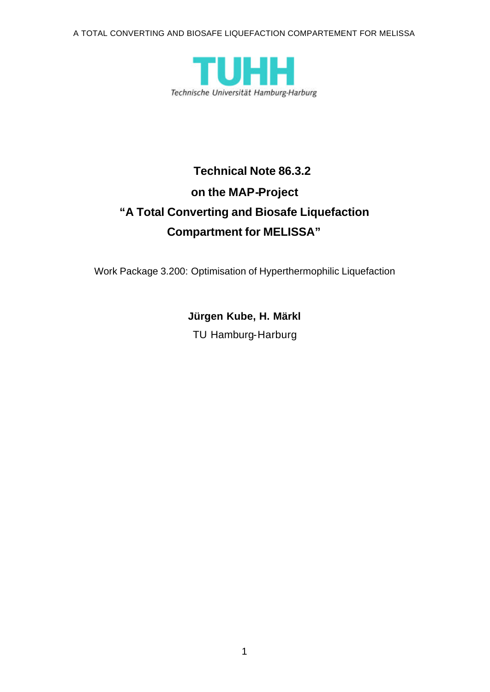A TOTAL CONVERTING AND BIOSAFE LIQUEFACTION COMPARTEMENT FOR MELISSA



# **Technical Note 86.3.2 on the MAP-Project "A Total Converting and Biosafe Liquefaction Compartment for MELISSA"**

Work Package 3.200: Optimisation of Hyperthermophilic Liquefaction

**Jürgen Kube, H. Märkl** TU Hamburg-Harburg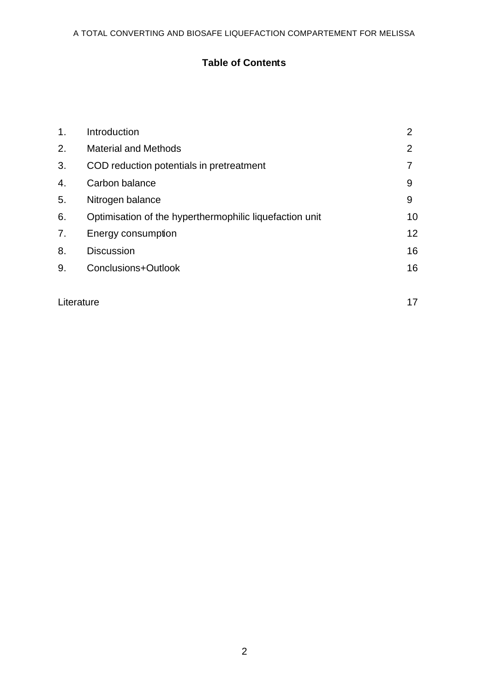# **Table of Contents**

| $\mathbf{1}$ . | Introduction                                            | $\overline{2}$ |
|----------------|---------------------------------------------------------|----------------|
| 2.             | <b>Material and Methods</b>                             | 2              |
| 3.             | COD reduction potentials in pretreatment                |                |
| 4.             | Carbon balance                                          | 9              |
| 5.             | Nitrogen balance                                        | 9              |
| 6.             | Optimisation of the hyperthermophilic liquefaction unit | 10             |
| 7.             | Energy consumption                                      | 12             |
| 8.             | <b>Discussion</b>                                       | 16             |
| 9.             | Conclusions+Outlook                                     | 16             |
|                |                                                         |                |

Literature 17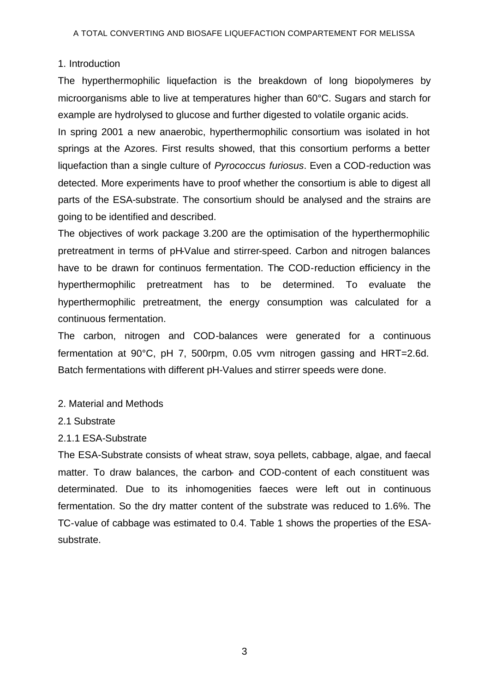## 1. Introduction

The hyperthermophilic liquefaction is the breakdown of long biopolymeres by microorganisms able to live at temperatures higher than 60°C. Sugars and starch for example are hydrolysed to glucose and further digested to volatile organic acids.

In spring 2001 a new anaerobic, hyperthermophilic consortium was isolated in hot springs at the Azores. First results showed, that this consortium performs a better liquefaction than a single culture of *Pyrococcus furiosus*. Even a COD-reduction was detected. More experiments have to proof whether the consortium is able to digest all parts of the ESA-substrate. The consortium should be analysed and the strains are going to be identified and described.

The objectives of work package 3.200 are the optimisation of the hyperthermophilic pretreatment in terms of pH-Value and stirrer-speed. Carbon and nitrogen balances have to be drawn for continuos fermentation. The COD-reduction efficiency in the hyperthermophilic pretreatment has to be determined. To evaluate the hyperthermophilic pretreatment, the energy consumption was calculated for a continuous fermentation.

The carbon, nitrogen and COD-balances were generated for a continuous fermentation at 90°C, pH 7, 500rpm, 0.05 vvm nitrogen gassing and HRT=2.6d. Batch fermentations with different pH-Values and stirrer speeds were done.

## 2. Material and Methods

2.1 Substrate

## 2.1.1 ESA-Substrate

The ESA-Substrate consists of wheat straw, soya pellets, cabbage, algae, and faecal matter. To draw balances, the carbon- and COD-content of each constituent was determinated. Due to its inhomogenities faeces were left out in continuous fermentation. So the dry matter content of the substrate was reduced to 1.6%. The TC-value of cabbage was estimated to 0.4. Table 1 shows the properties of the ESAsubstrate.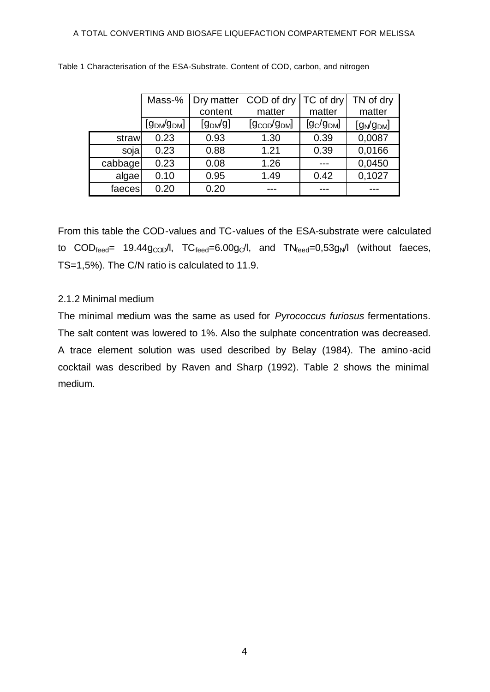|         | Mass-%                              | Dry matter           | COD of dry                            | TC of dry   | TN of dry      |
|---------|-------------------------------------|----------------------|---------------------------------------|-------------|----------------|
|         |                                     | content              | matter                                | matter      | matter         |
|         | [9 <sub>DM</sub> /9 <sub>DM</sub> ] | [g <sub>DM</sub> /g] | [9 <sub>coop</sub> /9 <sub>DM</sub> ] | $[g_C/gDM]$ | $[g_N/g_{DM}]$ |
| straw   | 0.23                                | 0.93                 | 1.30                                  | 0.39        | 0,0087         |
| sojal   | 0.23                                | 0.88                 | 1.21                                  | 0.39        | 0,0166         |
| cabbage | 0.23                                | 0.08                 | 1.26                                  |             | 0,0450         |
| algae   | 0.10                                | 0.95                 | 1.49                                  | 0.42        | 0,1027         |
| faeces  | 0.20                                | 0.20                 |                                       |             |                |

Table 1 Characterisation of the ESA-Substrate. Content of COD, carbon, and nitrogen

From this table the COD-values and TC-values of the ESA-substrate were calculated to  $\text{COD}_{\text{feed}}$  19.44g<sub>COD</sub>/l,  $\text{TC}_{\text{feed}}$ =6.00g $\text{C}$ l, and  $\text{TN}_{\text{feed}}$ =0,53g<sub>N</sub>/l (without faeces, TS=1,5%). The C/N ratio is calculated to 11.9.

## 2.1.2 Minimal medium

The minimal medium was the same as used for *Pyrococcus furiosus* fermentations. The salt content was lowered to 1%. Also the sulphate concentration was decreased. A trace element solution was used described by Belay (1984). The amino-acid cocktail was described by Raven and Sharp (1992). Table 2 shows the minimal medium.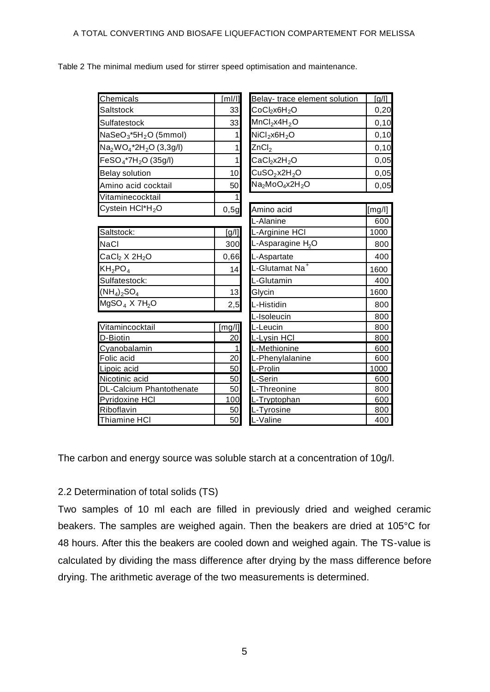Table 2 The minimal medium used for stirrer speed optimisation and maintenance.

| Chemicals                                     | $\lceil m!/ \rceil$ | Belay-trace element solution                        | [g/II] |
|-----------------------------------------------|---------------------|-----------------------------------------------------|--------|
| Saltstock                                     | 33                  | $CoCl2$ x6H <sub>2</sub> O                          | 0,20   |
| Sulfatestock                                  | 33                  | MnCl <sub>2</sub> x4H <sub>2</sub> O                | 0, 10  |
| NaSeO <sub>3</sub> *5H <sub>2</sub> O (5mmol) | 1                   | NiCl <sub>2</sub> x6H <sub>2</sub> O                | 0, 10  |
| $Na2WO4*2H2O (3,3g/l)$                        | 1                   | ZnCl <sub>2</sub>                                   | 0, 10  |
| FeSO <sub>4</sub> *7H <sub>2</sub> O (35g/l)  | 1                   | CaCl <sub>2</sub> x2H <sub>2</sub> O                | 0,05   |
| <b>Belay solution</b>                         | 10                  | CuSO <sub>2</sub> x2H <sub>2</sub> O                | 0,05   |
| Amino acid cocktail                           | 50                  | Na <sub>2</sub> MoO <sub>4</sub> x2H <sub>2</sub> O | 0,05   |
| Vitaminecocktail                              | 1                   |                                                     |        |
| Cystein HCl*H <sub>2</sub> O                  | 0,5g                | Amino acid                                          | [mg/l] |
|                                               |                     | L-Alanine                                           | 600    |
| Saltstock:                                    | [g/                 | L-Arginine HCI                                      | 1000   |
| <b>NaCl</b>                                   | 300                 | L-Asparagine H <sub>2</sub> O                       | 800    |
| CaCl <sub>2</sub> X 2H <sub>2</sub> O         | 0,66                | L-Aspartate                                         | 400    |
| $KH_2PO_4$                                    | 14                  | L-Glutamat Na <sup>+</sup>                          | 1600   |
| Sulfatestock:                                 |                     | L-Glutamin                                          | 400    |
| $(NH_4)_2SO_4$                                | 13                  | Glycin                                              | 1600   |
| MgSO <sub>4</sub> X 7H <sub>2</sub> O         | 2,5                 | L-Histidin                                          | 800    |
|                                               | L-Isoleucin         |                                                     | 800    |
| Vitamincocktail                               | [mg/l]              | L-Leucin                                            | 800    |
| D-Biotin                                      | 20                  | L-Lysin HCI                                         | 800    |
| Cyanobalamin                                  | 1                   | L-Methionine                                        | 600    |
| Folic acid                                    | 20                  | L-Phenylalanine                                     | 600    |
| Lipoic acid                                   | 50                  | L-Prolin                                            | 1000   |
| Nicotinic acid                                | 50                  | L-Serin                                             | 600    |
| <b>DL-Calcium Phantothenate</b>               | 50                  | L-Threonine                                         | 800    |
| Pyridoxine HCI                                | 100                 | L-Tryptophan                                        | 600    |
| Riboflavin                                    | 50                  | L-Tyrosine                                          | 800    |
| <b>Thiamine HCI</b>                           | 50                  | L-Valine                                            | 400    |

The carbon and energy source was soluble starch at a concentration of 10g/l.

# 2.2 Determination of total solids (TS)

Two samples of 10 ml each are filled in previously dried and weighed ceramic beakers. The samples are weighed again. Then the beakers are dried at 105°C for 48 hours. After this the beakers are cooled down and weighed again. The TS-value is calculated by dividing the mass difference after drying by the mass difference before drying. The arithmetic average of the two measurements is determined.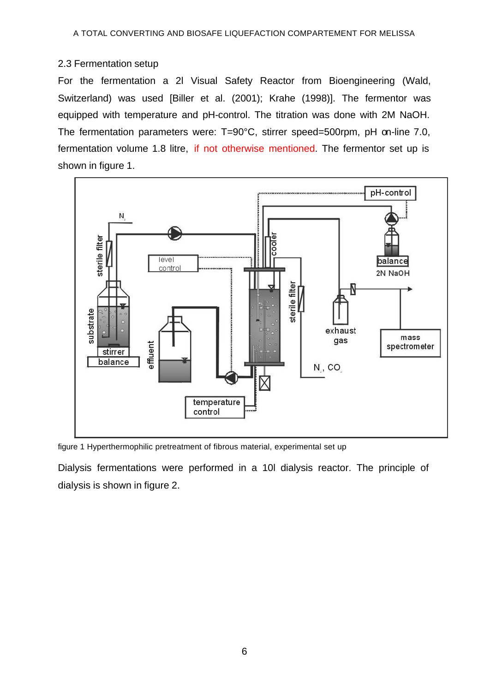## 2.3 Fermentation setup

For the fermentation a 2l Visual Safety Reactor from Bioengineering (Wald, Switzerland) was used [Biller et al. (2001); Krahe (1998)]. The fermentor was equipped with temperature and pH-control. The titration was done with 2M NaOH. The fermentation parameters were: T=90°C, stirrer speed=500rpm, pH on-line 7.0, fermentation volume 1.8 litre, if not otherwise mentioned. The fermentor set up is shown in figure 1.



figure 1 Hyperthermophilic pretreatment of fibrous material, experimental set up

Dialysis fermentations were performed in a 10l dialysis reactor. The principle of dialysis is shown in figure 2.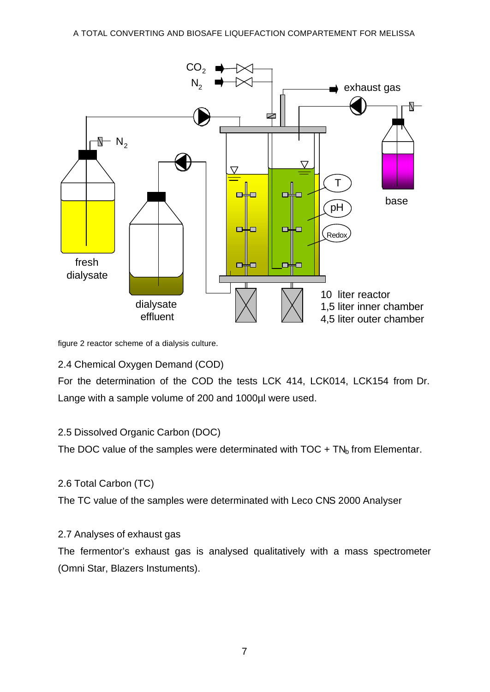

figure 2 reactor scheme of a dialysis culture.

2.4 Chemical Oxygen Demand (COD)

For the determination of the COD the tests LCK 414, LCK014, LCK154 from Dr. Lange with a sample volume of 200 and 1000µl were used.

# 2.5 Dissolved Organic Carbon (DOC)

The DOC value of the samples were determinated with  $TOC + TN<sub>b</sub>$  from Elementar.

# 2.6 Total Carbon (TC)

The TC value of the samples were determinated with Leco CNS 2000 Analyser

# 2.7 Analyses of exhaust gas

The fermentor's exhaust gas is analysed qualitatively with a mass spectrometer (Omni Star, Blazers Instuments).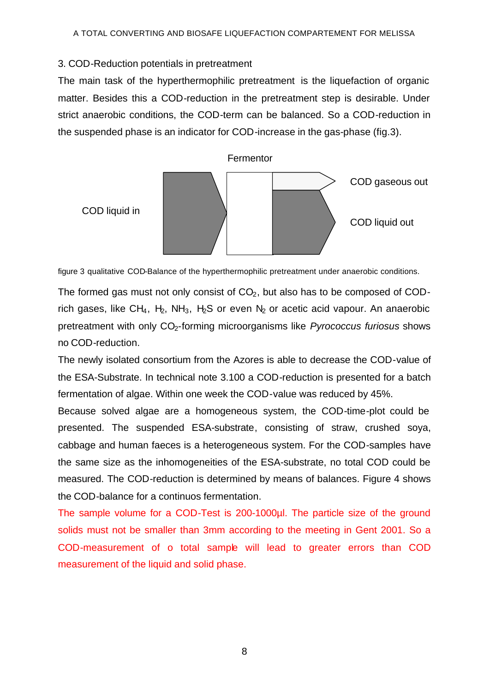## 3. COD-Reduction potentials in pretreatment

The main task of the hyperthermophilic pretreatment is the liquefaction of organic matter. Besides this a COD-reduction in the pretreatment step is desirable. Under strict anaerobic conditions, the COD-term can be balanced. So a COD-reduction in the suspended phase is an indicator for COD-increase in the gas-phase (fig.3).



figure 3 qualitative COD-Balance of the hyperthermophilic pretreatment under anaerobic conditions.

The formed gas must not only consist of  $CO<sub>2</sub>$ , but also has to be composed of CODrich gases, like CH<sub>4</sub>, H<sub>2</sub>, NH<sub>3</sub>, H<sub>2</sub>S or even N<sub>2</sub> or acetic acid vapour. An anaerobic pretreatment with only CO2-forming microorganisms like *Pyrococcus furiosus* shows no COD-reduction.

The newly isolated consortium from the Azores is able to decrease the COD-value of the ESA-Substrate. In technical note 3.100 a COD-reduction is presented for a batch fermentation of algae. Within one week the COD-value was reduced by 45%.

Because solved algae are a homogeneous system, the COD-time-plot could be presented. The suspended ESA-substrate, consisting of straw, crushed soya, cabbage and human faeces is a heterogeneous system. For the COD-samples have the same size as the inhomogeneities of the ESA-substrate, no total COD could be measured. The COD-reduction is determined by means of balances. Figure 4 shows the COD-balance for a continuos fermentation.

The sample volume for a COD-Test is 200-1000µl. The particle size of the ground solids must not be smaller than 3mm according to the meeting in Gent 2001. So a COD-measurement of o total sample will lead to greater errors than COD measurement of the liquid and solid phase.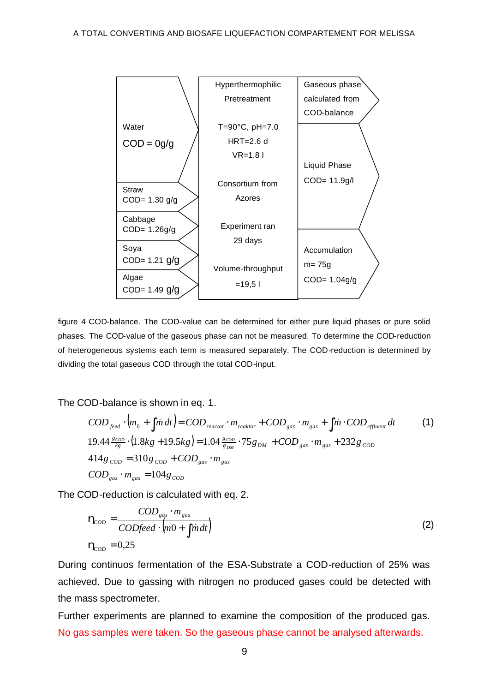

figure 4 COD-balance. The COD-value can be determined for either pure liquid phases or pure solid phases. The COD-value of the gaseous phase can not be measured. To determine the COD-reduction of heterogeneous systems each term is measured separately. The COD-reduction is determined by dividing the total gaseous COD through the total COD-input.

The COD-balance is shown in eq. 1.

$$
COD_{\text{feed}} \cdot \left( m_0 + \int \dot{m} \, dt \right) = COD_{\text{reactor}} \cdot m_{\text{reaktor}} + COD_{\text{gas}} \cdot m_{\text{gas}} + \int \dot{m} \cdot COD_{\text{effuent}} \, dt \tag{1}
$$
  
19.44  $\frac{g_{\text{COD}}}{kg} \cdot \left( 1.8kg + 19.5kg \right) = 1.04 \frac{g_{\text{COD}}}{g_{\text{DM}}} \cdot 75 g_{\text{DM}} + COD_{\text{gas}} \cdot m_{\text{gas}} + 232 g_{\text{COD}} 414 g_{\text{COD}} = 310 g_{\text{COD}} + COD_{\text{gas}} \cdot m_{\text{gas}}$   

$$
COD_{\text{gas}} \cdot m_{\text{gas}} = 104 g_{\text{COD}}
$$

The COD-reduction is calculated with eq. 2.

$$
\mathbf{h}_{\text{coD}} = \frac{\text{COD}_{\text{gas}} \cdot m_{\text{gas}}}{\text{CODfeed} \cdot \left(\text{m0} + \int \dot{\text{m}} \, dt\right)}
$$
\n
$$
\mathbf{h}_{\text{coD}} = 0.25 \tag{2}
$$

During continuos fermentation of the ESA-Substrate a COD-reduction of 25% was achieved. Due to gassing with nitrogen no produced gases could be detected with the mass spectrometer.

Further experiments are planned to examine the composition of the produced gas. No gas samples were taken. So the gaseous phase cannot be analysed afterwards.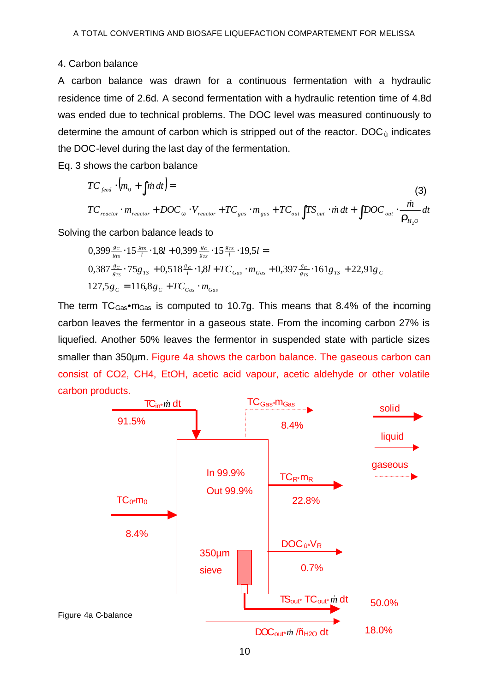## 4. Carbon balance

A carbon balance was drawn for a continuous fermentation with a hydraulic residence time of 2.6d. A second fermentation with a hydraulic retention time of 4.8d was ended due to technical problems. The DOC level was measured continuously to determine the amount of carbon which is stripped out of the reactor.  $DOC_{\rm u}$  indicates the DOC-level during the last day of the fermentation.

Eq. 3 shows the carbon balance

$$
TC_{\text{feed}} \cdot \left(m_0 + \int \dot{m} \, dt\right) =
$$
\n
$$
TC_{\text{reactor}} \cdot m_{\text{reactor}} + DOC_w \cdot V_{\text{reactor}} + TC_{\text{gas}} \cdot m_{\text{gas}} + TC_{\text{out}} \int TS_{\text{out}} \cdot \dot{m} \, dt + \int DOC_{\text{out}} \cdot \frac{\dot{m}}{\mathbf{r}_{H_2O}} \, dt
$$
\n
$$
1.1 \cdot \left(\frac{\dot{m}}{\mathbf{r}_{H_2O}}\right) \cdot \left(\frac{\dot{m}}{\mathbf{r}_{H_2O}}\right) \cdot \left(\frac{\dot{m}}{\mathbf{r}_{H_2O}}\right) \cdot \left(\frac{\dot{m}}{\mathbf{r}_{H_2O}}\right) \cdot \left(\frac{\dot{m}}{\mathbf{r}_{H_2O}}\right) \cdot \left(\frac{\dot{m}}{\mathbf{r}_{H_2O}}\right) \cdot \left(\frac{\dot{m}}{\mathbf{r}_{H_2O}}\right) \cdot \left(\frac{\dot{m}}{\mathbf{r}_{H_2O}}\right) \cdot \left(\frac{\dot{m}}{\mathbf{r}_{H_2O}}\right) \cdot \left(\frac{\dot{m}}{\mathbf{r}_{H_2O}}\right) \cdot \left(\frac{\dot{m}}{\mathbf{r}_{H_2O}}\right) \cdot \left(\frac{\dot{m}}{\mathbf{r}_{H_2O}}\right) \cdot \left(\frac{\dot{m}}{\mathbf{r}_{H_2O}}\right) \cdot \left(\frac{\dot{m}}{\mathbf{r}_{H_2O}}\right) \cdot \left(\frac{\dot{m}}{\mathbf{r}_{H_2O}}\right) \cdot \left(\frac{\dot{m}}{\mathbf{r}_{H_2O}}\right) \cdot \left(\frac{\dot{m}}{\mathbf{r}_{H_2O}}\right) \cdot \left(\frac{\dot{m}}{\mathbf{r}_{H_2O}}\right) \cdot \left(\frac{\dot{m}}{\mathbf{r}_{H_2O}}\right) \cdot \left(\frac{\dot{m}}{\mathbf{r}_{H_2O}}\right) \cdot \left(\frac{\dot{m}}{\mathbf{r}_{H_2O}}\right) \cdot \left(\frac{\dot{m}}{\mathbf{r}_{H_2O}}\right) \cdot \left(\frac{\dot{m}}{\mathbf{r}_{H_2O}}\right) \cdot \left(\frac{\dot{m}}{\mathbf{r}_{H_2O}}
$$

Solving the carbon balance leads to

$$
0,399 \frac{g_C}{g_{TS}} \cdot 15 \frac{g_{TS}}{l} \cdot 1,8l + 0,399 \frac{g_C}{g_{TS}} \cdot 15 \frac{g_{TS}}{l} \cdot 19,5l =
$$
  

$$
0,387 \frac{g_C}{g_{TS}} \cdot 75g_{TS} + 0,518 \frac{g_C}{l} \cdot 1,8l + TC_{Gas} \cdot m_{Gas} + 0,397 \frac{g_C}{g_{TS}} \cdot 161g_{TS} + 22,91g_C
$$
  

$$
127,5g_C = 116,8g_C + TC_{Gas} \cdot m_{Gas}
$$

The term  $TC_{Gas} \cdot m_{Gas}$  is computed to 10.7g. This means that 8.4% of the incoming carbon leaves the fermentor in a gaseous state. From the incoming carbon 27% is liquefied. Another 50% leaves the fermentor in suspended state with particle sizes smaller than 350µm. Figure 4a shows the carbon balance. The gaseous carbon can consist of CO2, CH4, EtOH, acetic acid vapour, acetic aldehyde or other volatile carbon products.

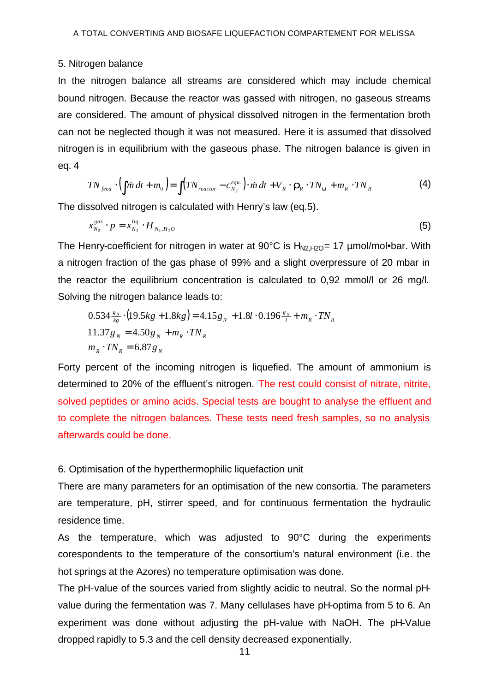#### 5. Nitrogen balance

In the nitrogen balance all streams are considered which may include chemical bound nitrogen. Because the reactor was gassed with nitrogen, no gaseous streams are considered. The amount of physical dissolved nitrogen in the fermentation broth can not be neglected though it was not measured. Here it is assumed that dissolved nitrogen is in equilibrium with the gaseous phase. The nitrogen balance is given in eq. 4

$$
TN_{\text{feed}} \cdot \left(\int \dot{m} \, dt + m_0\right) = \int \left(TN_{\text{reactor}} - c_{N_2}^{\text{equ.}}\right) \cdot \dot{m} \, dt + V_R \cdot \mathbf{r}_R \cdot TN_w + m_R \cdot TN_R \tag{4}
$$

The dissolved nitrogen is calculated with Henry's law (eq.5).

$$
x_{N_2}^{gas} \cdot p = x_{N_2}^{liq} \cdot H_{N_2, H_2O} \tag{5}
$$

The Henry-coefficient for nitrogen in water at 90 $^{\circ}$ C is H<sub>N2,H2O</sub>= 17 µmol/mol•bar. With a nitrogen fraction of the gas phase of 99% and a slight overpressure of 20 mbar in the reactor the equilibrium concentration is calculated to 0,92 mmol/l or 26 mg/l. Solving the nitrogen balance leads to:

$$
0.534 \frac{g_N}{k_g} \cdot (19.5kg + 1.8kg) = 4.15g_N + 1.8l \cdot 0.196 \frac{g_N}{l} + m_R \cdot TN_R
$$
  

$$
11.37g_N = 4.50g_N + m_R \cdot TN_R
$$
  

$$
m_R \cdot TN_R = 6.87g_N
$$

Forty percent of the incoming nitrogen is liquefied. The amount of ammonium is determined to 20% of the effluent's nitrogen. The rest could consist of nitrate, nitrite, solved peptides or amino acids. Special tests are bought to analyse the effluent and to complete the nitrogen balances. These tests need fresh samples, so no analysis afterwards could be done.

#### 6. Optimisation of the hyperthermophilic liquefaction unit

There are many parameters for an optimisation of the new consortia. The parameters are temperature, pH, stirrer speed, and for continuous fermentation the hydraulic residence time.

As the temperature, which was adjusted to 90°C during the experiments corespondents to the temperature of the consortium's natural environment (i.e. the hot springs at the Azores) no temperature optimisation was done.

The pH-value of the sources varied from slightly acidic to neutral. So the normal pHvalue during the fermentation was 7. Many cellulases have pH-optima from 5 to 6. An experiment was done without adjusting the pH-value with NaOH. The pH-Value dropped rapidly to 5.3 and the cell density decreased exponentially.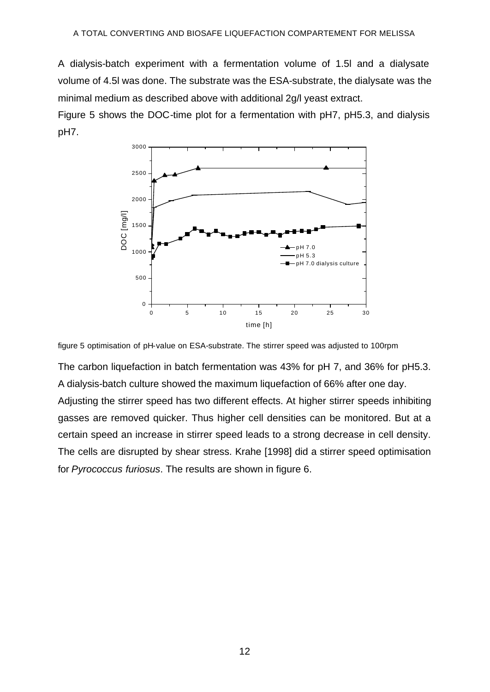A dialysis-batch experiment with a fermentation volume of 1.5l and a dialysate volume of 4.5l was done. The substrate was the ESA-substrate, the dialysate was the minimal medium as described above with additional 2g/l yeast extract.

Figure 5 shows the DOC-time plot for a fermentation with pH7, pH5.3, and dialysis pH7.



figure 5 optimisation of pH-value on ESA-substrate. The stirrer speed was adjusted to 100rpm

The carbon liquefaction in batch fermentation was 43% for pH 7, and 36% for pH5.3. A dialysis-batch culture showed the maximum liquefaction of 66% after one day. Adjusting the stirrer speed has two different effects. At higher stirrer speeds inhibiting gasses are removed quicker. Thus higher cell densities can be monitored. But at a certain speed an increase in stirrer speed leads to a strong decrease in cell density. The cells are disrupted by shear stress. Krahe [1998] did a stirrer speed optimisation for *Pyrococcus furiosus*. The results are shown in figure 6.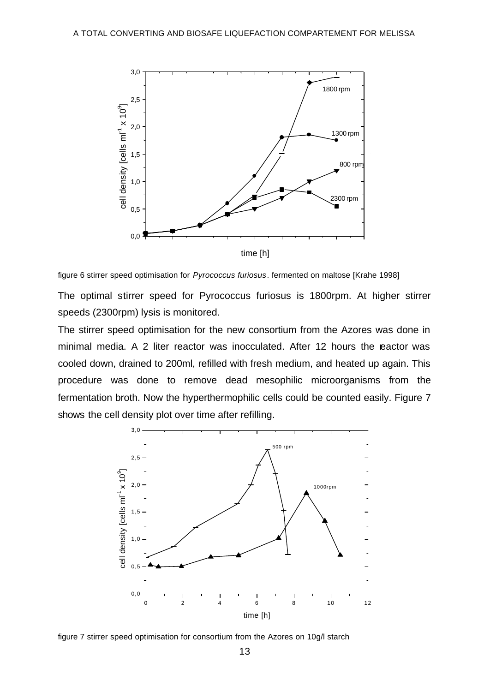

figure 6 stirrer speed optimisation for *Pyrococcus furiosus*. fermented on maltose [Krahe 1998]

The optimal stirrer speed for Pyrococcus furiosus is 1800rpm. At higher stirrer speeds (2300rpm) lysis is monitored.

The stirrer speed optimisation for the new consortium from the Azores was done in minimal media. A 2 liter reactor was inocculated. After 12 hours the eactor was cooled down, drained to 200ml, refilled with fresh medium, and heated up again. This procedure was done to remove dead mesophilic microorganisms from the fermentation broth. Now the hyperthermophilic cells could be counted easily. Figure 7 shows the cell density plot over time after refilling.



figure 7 stirrer speed optimisation for consortium from the Azores on 10g/l starch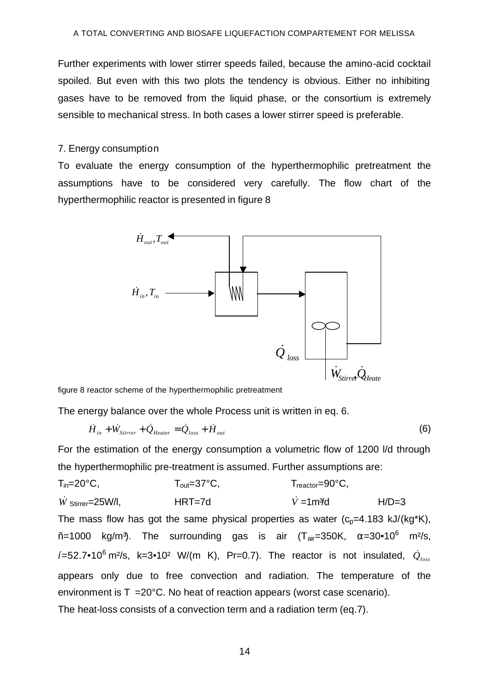Further experiments with lower stirrer speeds failed, because the amino-acid cocktail spoiled. But even with this two plots the tendency is obvious. Either no inhibiting gases have to be removed from the liquid phase, or the consortium is extremely sensible to mechanical stress. In both cases a lower stirrer speed is preferable.

#### 7. Energy consumption

To evaluate the energy consumption of the hyperthermophilic pretreatment the assumptions have to be considered very carefully. The flow chart of the hyperthermophilic reactor is presented in figure 8



figure 8 reactor scheme of the hyperthermophilic pretreatment

The energy balance over the whole Process unit is written in eq. 6.

$$
\dot{H}_{in} + \dot{W}_{Stirrer} + \dot{Q}_{Heater} = \dot{Q}_{loss} + \dot{H}_{out}
$$
\n(6)

For the estimation of the energy consumption a volumetric flow of 1200 l/d through the hyperthermophilic pre-treatment is assumed. Further assumptions are:

 $T_{in} = 20^{\circ}$ C,  $T_{out} = 37^{\circ}$ C,  $T_{reactor} = 90^{\circ}$ C,  $\dot{W}$  stirrer=25W/l, **HRT=7d**  $\dot{V}$  =1m<sup>3</sup>/d H/D=3 The mass flow has got the same physical properties as water  $(c_p=4.183 \text{ kJ}/(\text{kg}^*\text{K}))$ . ñ=1000 kg/m<sup>3</sup>). The surrounding gas is air (T<sub>air</sub>=350K, α=30•10<sup>6</sup> m<sup>2</sup>/s,  $\delta$  =52.7•10<sup>6</sup> m<sup>2</sup>/s, k=3•10<sup>2</sup> W/(m K), Pr=0.7). The reactor is not insulated,  $\dot{Q}_{loss}$ appears only due to free convection and radiation. The temperature of the environment is  $T = 20^{\circ}C$ . No heat of reaction appears (worst case scenario). The heat-loss consists of a convection term and a radiation term (eq.7).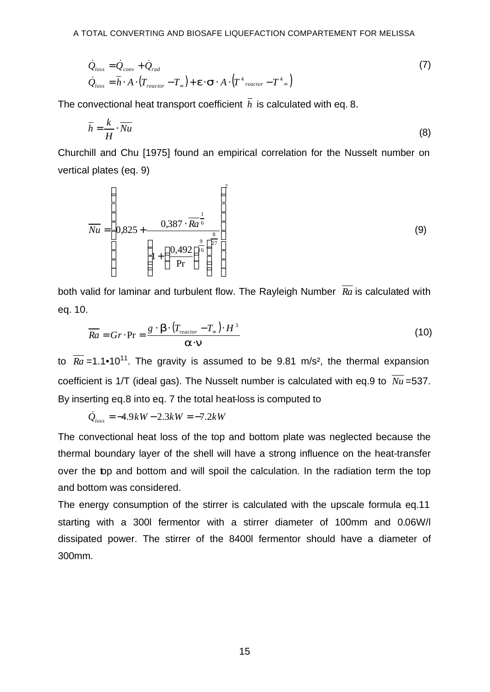$$
\dot{Q}_{loss} = \dot{Q}_{conv} + \dot{Q}_{rad} \n\dot{Q}_{loss} = \overline{h} \cdot A \cdot (T_{reactor} - T_{\infty}) + \mathbf{e} \cdot \mathbf{S} \cdot A \cdot (T^4_{reactor} - T^4_{\infty})
$$
\n(7)

The convectional heat transport coefficient  $\bar{h}$  is calculated with eq. 8.

$$
\overline{h} = \frac{k}{H} \cdot \overline{Nu} \tag{8}
$$

Churchill and Chu [1975] found an empirical correlation for the Nusselt number on vertical plates (eq. 9)

$$
\overline{Nu} = \left(0,825 + \frac{0,387 \cdot \overline{Ra}^{\frac{1}{6}}}{\left(1 + \left(\frac{0,492}{\text{Pr}}\right)^{\frac{9}{16}}\right)^{\frac{8}{27}}}\right) \tag{9}
$$

both valid for laminar and turbulent flow. The Rayleigh Number *Ra* is calculated with eq. 10.

$$
\overline{Ra} = Gr \cdot \Pr = \frac{g \cdot \mathbf{b} \cdot (T_{reactor} - T_{\infty}) \cdot H^3}{\mathbf{a} \cdot \mathbf{n}}
$$
(10)

to  $\overline{Ra}$  =1.1•10<sup>11</sup>. The gravity is assumed to be 9.81 m/s<sup>2</sup>, the thermal expansion coefficient is 1/T (ideal gas). The Nusselt number is calculated with eq.9 to  $\overline{Nu}$  =537. By inserting eq.8 into eq. 7 the total heat-loss is computed to

 $\dot{Q}_{loss} = -4.9kW - 2.3kW = -7.2kW$ 

The convectional heat loss of the top and bottom plate was neglected because the thermal boundary layer of the shell will have a strong influence on the heat-transfer over the top and bottom and will spoil the calculation. In the radiation term the top and bottom was considered.

The energy consumption of the stirrer is calculated with the upscale formula eq.11 starting with a 300l fermentor with a stirrer diameter of 100mm and 0.06W/l dissipated power. The stirrer of the 8400l fermentor should have a diameter of 300mm.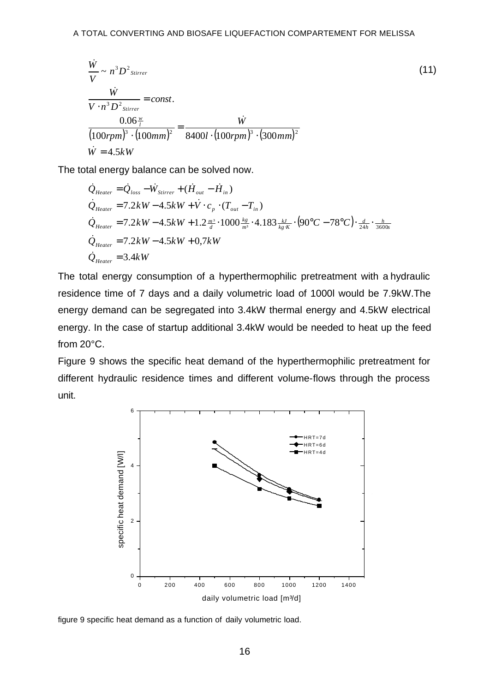$$
\frac{\dot{W}}{V} \sim n^3 D^2_{\text{Stirrer}}
$$
\n
$$
\frac{\dot{W}}{V \cdot n^3 D^2_{\text{Stirrer}}} = \text{const.}
$$
\n
$$
\frac{0.06 \frac{w}{I}}{(100 r p m)^3 \cdot (100 m m)^2} = \frac{\dot{W}}{8400 l \cdot (100 r p m)^3 \cdot (300 m m)^2}
$$
\n
$$
\dot{W} = 4.5 kW
$$
\n(11)

The total energy balance can be solved now.

$$
\dot{Q}_{Heater} = \dot{Q}_{loss} - \dot{W}_{Stirrer} + (\dot{H}_{out} - \dot{H}_{in})
$$
\n
$$
\dot{Q}_{Heater} = 7.2kW - 4.5kW + \dot{V} \cdot c_p \cdot (T_{out} - T_{in})
$$
\n
$$
\dot{Q}_{Heater} = 7.2kW - 4.5kW + 1.2\frac{m^3}{d} \cdot 1000\frac{k_g}{m^3} \cdot 4.183\frac{kJ}{kg \cdot K} \cdot (90^{\circ}C - 78^{\circ}C) \cdot \frac{d}{24h} \cdot \frac{h}{3600s}
$$
\n
$$
\dot{Q}_{Heater} = 7.2kW - 4.5kW + 0.7kW
$$
\n
$$
\dot{Q}_{Heater} = 3.4kW
$$

The total energy consumption of a hyperthermophilic pretreatment with a hydraulic residence time of 7 days and a daily volumetric load of 1000l would be 7.9kW.The energy demand can be segregated into 3.4kW thermal energy and 4.5kW electrical energy. In the case of startup additional 3.4kW would be needed to heat up the feed from 20°C.

Figure 9 shows the specific heat demand of the hyperthermophilic pretreatment for different hydraulic residence times and different volume-flows through the process unit.



figure 9 specific heat demand as a function of daily volumetric load.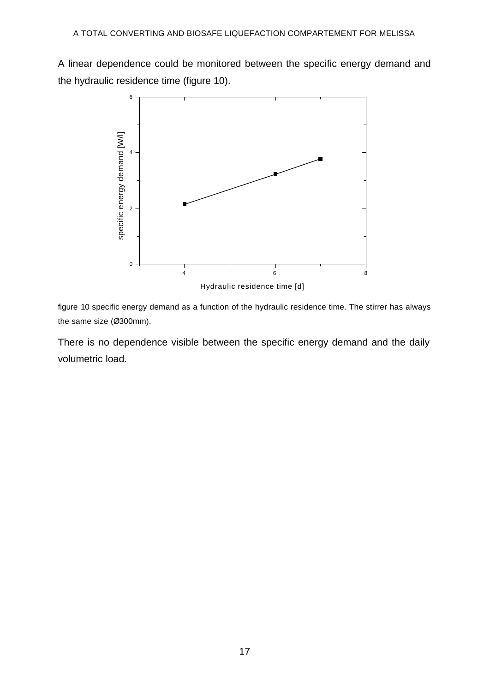A linear dependence could be monitored between the specific energy demand and the hydraulic residence time (figure 10).



figure 10 specific energy demand as a function of the hydraulic residence time. The stirrer has always the same size (Ø300mm).

There is no dependence visible between the specific energy demand and the daily volumetric load.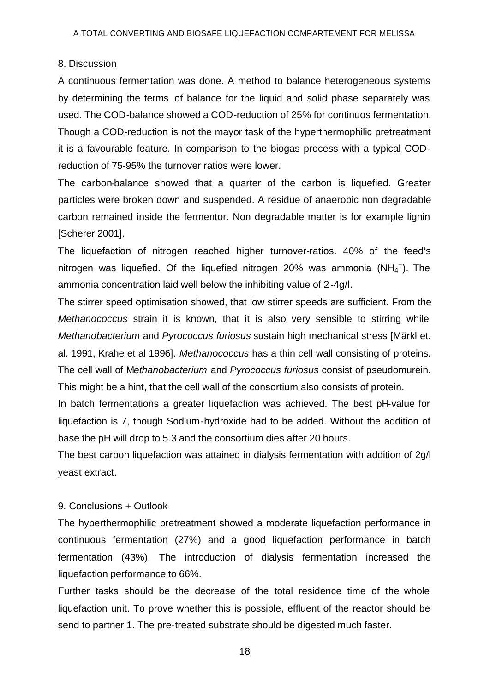#### 8. Discussion

A continuous fermentation was done. A method to balance heterogeneous systems by determining the terms of balance for the liquid and solid phase separately was used. The COD-balance showed a COD-reduction of 25% for continuos fermentation. Though a COD-reduction is not the mayor task of the hyperthermophilic pretreatment it is a favourable feature. In comparison to the biogas process with a typical CODreduction of 75-95% the turnover ratios were lower.

The carbon-balance showed that a quarter of the carbon is liquefied. Greater particles were broken down and suspended. A residue of anaerobic non degradable carbon remained inside the fermentor. Non degradable matter is for example lignin [Scherer 2001].

The liquefaction of nitrogen reached higher turnover-ratios. 40% of the feed's nitrogen was liquefied. Of the liquefied nitrogen 20% was ammonia  $(NH_4^+)$ . The ammonia concentration laid well below the inhibiting value of 2-4g/l.

The stirrer speed optimisation showed, that low stirrer speeds are sufficient. From the *Methanococcus* strain it is known, that it is also very sensible to stirring while *Methanobacterium* and *Pyrococcus furiosus* sustain high mechanical stress [Märkl et. al. 1991, Krahe et al 1996]. *Methanococcus* has a thin cell wall consisting of proteins. The cell wall of M*ethanobacterium* and *Pyrococcus furiosus* consist of pseudomurein. This might be a hint, that the cell wall of the consortium also consists of protein.

In batch fermentations a greater liquefaction was achieved. The best pH-value for liquefaction is 7, though Sodium-hydroxide had to be added. Without the addition of base the pH will drop to 5.3 and the consortium dies after 20 hours.

The best carbon liquefaction was attained in dialysis fermentation with addition of 2g/l yeast extract.

## 9. Conclusions + Outlook

The hyperthermophilic pretreatment showed a moderate liquefaction performance in continuous fermentation (27%) and a good liquefaction performance in batch fermentation (43%). The introduction of dialysis fermentation increased the liquefaction performance to 66%.

Further tasks should be the decrease of the total residence time of the whole liquefaction unit. To prove whether this is possible, effluent of the reactor should be send to partner 1. The pre-treated substrate should be digested much faster.

18